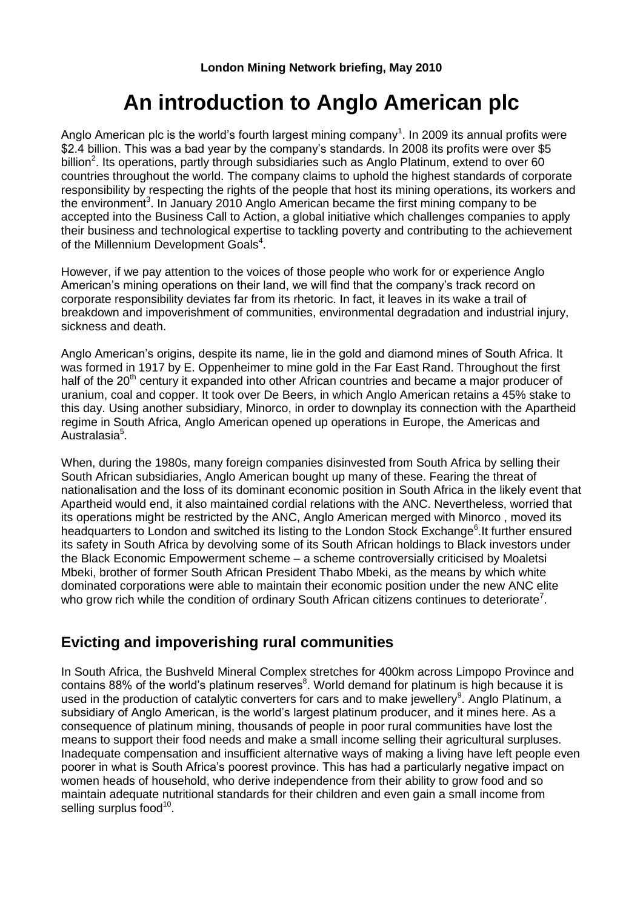# **An introduction to Anglo American plc**

Anglo American plc is the world's fourth largest mining company<sup>1</sup>. In 2009 its annual profits were \$2.4 billion. This was a bad year by the company's standards. In 2008 its profits were over \$5 billion<sup>2</sup>. Its operations, partly through subsidiaries such as Anglo Platinum, extend to over 60 countries throughout the world. The company claims to uphold the highest standards of corporate responsibility by respecting the rights of the people that host its mining operations, its workers and the environment<sup>3</sup>. In January 2010 Anglo American became the first mining company to be accepted into the Business Call to Action, a global initiative which challenges companies to apply their business and technological expertise to tackling poverty and contributing to the achievement of the Millennium Development Goals<sup>4</sup>.

However, if we pay attention to the voices of those people who work for or experience Anglo American's mining operations on their land, we will find that the company's track record on corporate responsibility deviates far from its rhetoric. In fact, it leaves in its wake a trail of breakdown and impoverishment of communities, environmental degradation and industrial injury, sickness and death.

Anglo American's origins, despite its name, lie in the gold and diamond mines of South Africa. It was formed in 1917 by E. Oppenheimer to mine gold in the Far East Rand. Throughout the first half of the 20<sup>th</sup> century it expanded into other African countries and became a major producer of uranium, coal and copper. It took over De Beers, in which Anglo American retains a 45% stake to this day. Using another subsidiary, Minorco, in order to downplay its connection with the Apartheid regime in South Africa, Anglo American opened up operations in Europe, the Americas and Australasia<sup>5</sup>.

When, during the 1980s, many foreign companies disinvested from South Africa by selling their South African subsidiaries, Anglo American bought up many of these. Fearing the threat of nationalisation and the loss of its dominant economic position in South Africa in the likely event that Apartheid would end, it also maintained cordial relations with the ANC. Nevertheless, worried that its operations might be restricted by the ANC, Anglo American merged with Minorco , moved its headquarters to London and switched its listing to the London Stock Exchange<sup>6</sup>. It further ensured its safety in South Africa by devolving some of its South African holdings to Black investors under the Black Economic Empowerment scheme – a scheme controversially criticised by Moaletsi Mbeki, brother of former South African President Thabo Mbeki, as the means by which white dominated corporations were able to maintain their economic position under the new ANC elite who grow rich while the condition of ordinary South African citizens continues to deteriorate<sup>7</sup>.

#### **Evicting and impoverishing rural communities**

In South Africa, the Bushveld Mineral Complex stretches for 400km across Limpopo Province and contains 88% of the world's platinum reserves<sup>8</sup>. World demand for platinum is high because it is used in the production of catalytic converters for cars and to make jewellery<sup>9</sup>. Anglo Platinum, a subsidiary of Anglo American, is the world's largest platinum producer, and it mines here. As a consequence of platinum mining, thousands of people in poor rural communities have lost the means to support their food needs and make a small income selling their agricultural surpluses. Inadequate compensation and insufficient alternative ways of making a living have left people even poorer in what is South Africa's poorest province. This has had a particularly negative impact on women heads of household, who derive independence from their ability to grow food and so maintain adequate nutritional standards for their children and even gain a small income from selling surplus food<sup>10</sup>.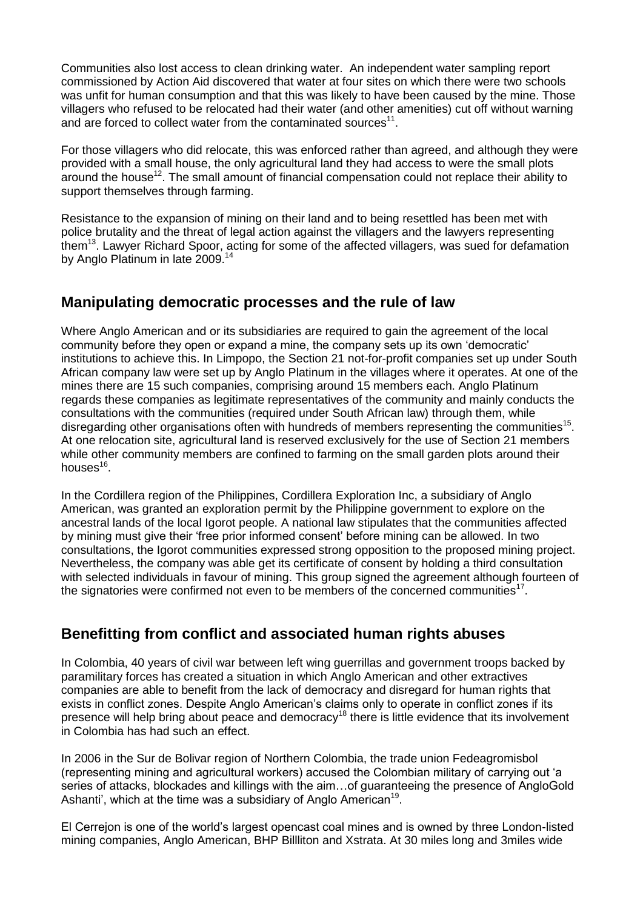Communities also lost access to clean drinking water. An independent water sampling report commissioned by Action Aid discovered that water at four sites on which there were two schools was unfit for human consumption and that this was likely to have been caused by the mine. Those villagers who refused to be relocated had their water (and other amenities) cut off without warning and are forced to collect water from the contaminated sources<sup>11</sup>.

For those villagers who did relocate, this was enforced rather than agreed, and although they were provided with a small house, the only agricultural land they had access to were the small plots around the house<sup>12</sup>. The small amount of financial compensation could not replace their ability to support themselves through farming.

Resistance to the expansion of mining on their land and to being resettled has been met with police brutality and the threat of legal action against the villagers and the lawyers representing them<sup>13</sup>. Lawyer Richard Spoor, acting for some of the affected villagers, was sued for defamation by Anglo Platinum in late 2009.<sup>14</sup>

## **Manipulating democratic processes and the rule of law**

Where Anglo American and or its subsidiaries are required to gain the agreement of the local community before they open or expand a mine, the company sets up its own 'democratic' institutions to achieve this. In Limpopo, the Section 21 not-for-profit companies set up under South African company law were set up by Anglo Platinum in the villages where it operates. At one of the mines there are 15 such companies, comprising around 15 members each. Anglo Platinum regards these companies as legitimate representatives of the community and mainly conducts the consultations with the communities (required under South African law) through them, while disregarding other organisations often with hundreds of members representing the communities<sup>15</sup>. At one relocation site, agricultural land is reserved exclusively for the use of Section 21 members while other community members are confined to farming on the small garden plots around their houses<sup>16</sup>.

In the Cordillera region of the Philippines, Cordillera Exploration Inc, a subsidiary of Anglo American, was granted an exploration permit by the Philippine government to explore on the ancestral lands of the local Igorot people. A national law stipulates that the communities affected by mining must give their 'free prior informed consent' before mining can be allowed. In two consultations, the Igorot communities expressed strong opposition to the proposed mining project. Nevertheless, the company was able get its certificate of consent by holding a third consultation with selected individuals in favour of mining. This group signed the agreement although fourteen of the signatories were confirmed not even to be members of the concerned communities<sup>17</sup>.

## **Benefitting from conflict and associated human rights abuses**

In Colombia, 40 years of civil war between left wing guerrillas and government troops backed by paramilitary forces has created a situation in which Anglo American and other extractives companies are able to benefit from the lack of democracy and disregard for human rights that exists in conflict zones. Despite Anglo American's claims only to operate in conflict zones if its presence will help bring about peace and democracy<sup>18</sup> there is little evidence that its involvement in Colombia has had such an effect.

In 2006 in the Sur de Bolivar region of Northern Colombia, the trade union Fedeagromisbol (representing mining and agricultural workers) accused the Colombian military of carrying out 'a series of attacks, blockades and killings with the aim…of guaranteeing the presence of AngloGold Ashanti', which at the time was a subsidiary of Anglo American<sup>19</sup>.

El Cerrejon is one of the world's largest opencast coal mines and is owned by three London-listed mining companies, Anglo American, BHP Billliton and Xstrata. At 30 miles long and 3miles wide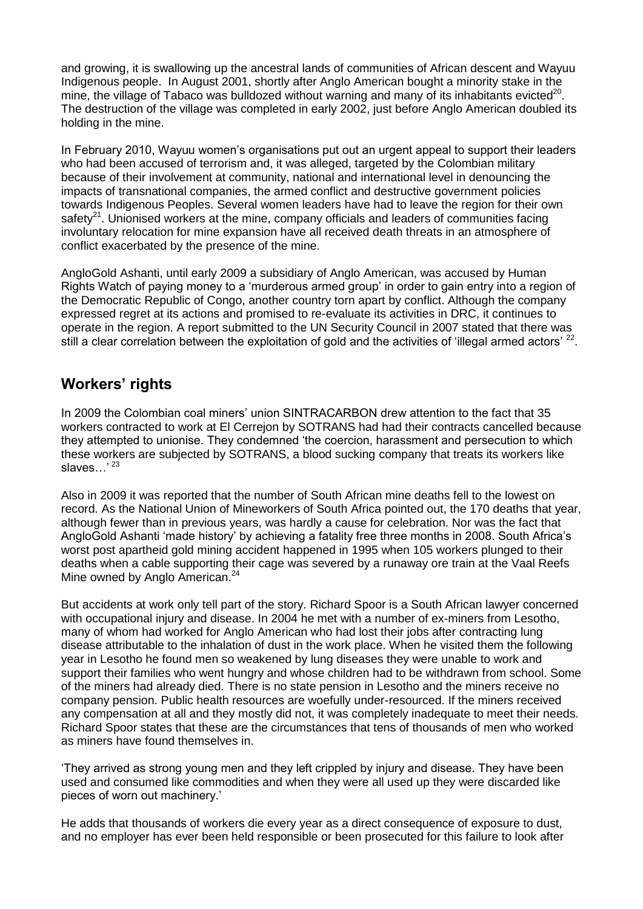and growing, it is swallowing up the ancestral lands of communities of African descent and Wayuu Indigenous people. In August 2001, shortly after Anglo American bought a minority stake in the mine, the village of Tabaco was bulldozed without warning and many of its inhabitants evicted<sup>20</sup>. The destruction of the village was completed in early 2002, just before Anglo American doubled its holding in the mine.

In February 2010, Wayuu women's organisations put out an urgent appeal to support their leaders who had been accused of terrorism and, it was alleged, targeted by the Colombian military because of their involvement at community, national and international level in denouncing the impacts of transnational companies, the armed conflict and destructive government policies towards Indigenous Peoples. Several women leaders have had to leave the region for their own safety<sup>21</sup>. Unionised workers at the mine, company officials and leaders of communities facing involuntary relocation for mine expansion have all received death threats in an atmosphere of conflict exacerbated by the presence of the mine.

AngloGold Ashanti, until early 2009 a subsidiary of Anglo American, was accused by Human Rights Watch of paying money to a 'murderous armed group' in order to gain entry into a region of the Democratic Republic of Congo, another country torn apart by conflict. Although the company expressed regret at its actions and promised to re-evaluate its activities in DRC, it continues to operate in the region. A report submitted to the UN Security Council in 2007 stated that there was still a clear correlation between the exploitation of gold and the activities of 'illegal armed actors'  $^{22}$ .

## **Workers' rights**

In 2009 the Colombian coal miners' union SINTRACARBON drew attention to the fact that 35 workers contracted to work at El Cerrejon by SOTRANS had had their contracts cancelled because they attempted to unionise. They condemned 'the coercion, harassment and persecution to which these workers are subjected by SOTRANS, a blood sucking company that treats its workers like slaves...'<sup>23</sup>

Also in 2009 it was reported that the number of South African mine deaths fell to the lowest on record. As the National Union of Mineworkers of South Africa pointed out, the 170 deaths that year, although fewer than in previous years, was hardly a cause for celebration. Nor was the fact that AngloGold Ashanti 'made history' by achieving a fatality free three months in 2008. South Africa's worst post apartheid gold mining accident happened in 1995 when 105 workers plunged to their deaths when a cable supporting their cage was severed by a runaway ore train at the Vaal Reefs Mine owned by Anglo American.<sup>24</sup>

But accidents at work only tell part of the story. Richard Spoor is a South African lawyer concerned with occupational injury and disease. In 2004 he met with a number of ex-miners from Lesotho, many of whom had worked for Anglo American who had lost their jobs after contracting lung disease attributable to the inhalation of dust in the work place. When he visited them the following year in Lesotho he found men so weakened by lung diseases they were unable to work and support their families who went hungry and whose children had to be withdrawn from school. Some of the miners had already died. There is no state pension in Lesotho and the miners receive no company pension. Public health resources are woefully under-resourced. If the miners received any compensation at all and they mostly did not, it was completely inadequate to meet their needs. Richard Spoor states that these are the circumstances that tens of thousands of men who worked as miners have found themselves in.

'They arrived as strong young men and they left crippled by injury and disease. They have been used and consumed like commodities and when they were all used up they were discarded like pieces of worn out machinery.'

He adds that thousands of workers die every year as a direct consequence of exposure to dust, and no employer has ever been held responsible or been prosecuted for this failure to look after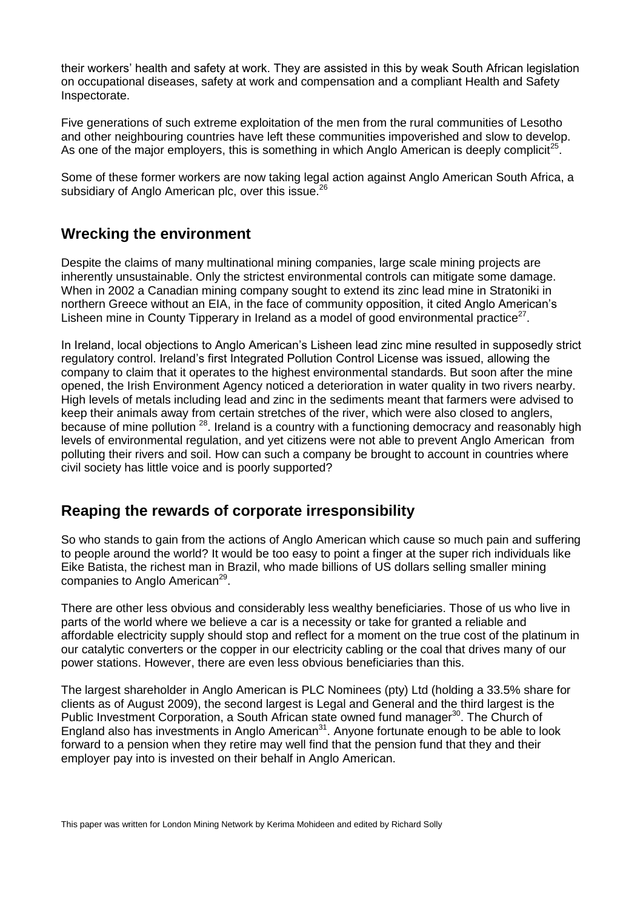their workers' health and safety at work. They are assisted in this by weak South African legislation on occupational diseases, safety at work and compensation and a compliant Health and Safety Inspectorate.

Five generations of such extreme exploitation of the men from the rural communities of Lesotho and other neighbouring countries have left these communities impoverished and slow to develop. As one of the major employers, this is something in which Anglo American is deeply complicit<sup>25</sup>.

Some of these former workers are now taking legal action against Anglo American South Africa, a subsidiary of Anglo American plc, over this issue.<sup>26</sup>

#### **Wrecking the environment**

Despite the claims of many multinational mining companies, large scale mining projects are inherently unsustainable. Only the strictest environmental controls can mitigate some damage. When in 2002 a Canadian mining company sought to extend its zinc lead mine in Stratoniki in northern Greece without an EIA, in the face of community opposition, it cited Anglo American's Lisheen mine in County Tipperary in Ireland as a model of good environmental practice $27$ .

In Ireland, local objections to Anglo American's Lisheen lead zinc mine resulted in supposedly strict regulatory control. Ireland's first Integrated Pollution Control License was issued, allowing the company to claim that it operates to the highest environmental standards. But soon after the mine opened, the Irish Environment Agency noticed a deterioration in water quality in two rivers nearby. High levels of metals including lead and zinc in the sediments meant that farmers were advised to keep their animals away from certain stretches of the river, which were also closed to anglers, because of mine pollution <sup>28</sup>. Ireland is a country with a functioning democracy and reasonably high levels of environmental regulation, and yet citizens were not able to prevent Anglo American from polluting their rivers and soil. How can such a company be brought to account in countries where civil society has little voice and is poorly supported?

#### **Reaping the rewards of corporate irresponsibility**

So who stands to gain from the actions of Anglo American which cause so much pain and suffering to people around the world? It would be too easy to point a finger at the super rich individuals like Eike Batista, the richest man in Brazil, who made billions of US dollars selling smaller mining companies to Anglo American<sup>29</sup>.

There are other less obvious and considerably less wealthy beneficiaries. Those of us who live in parts of the world where we believe a car is a necessity or take for granted a reliable and affordable electricity supply should stop and reflect for a moment on the true cost of the platinum in our catalytic converters or the copper in our electricity cabling or the coal that drives many of our power stations. However, there are even less obvious beneficiaries than this.

The largest shareholder in Anglo American is PLC Nominees (pty) Ltd (holding a 33.5% share for clients as of August 2009), the second largest is Legal and General and the third largest is the Public Investment Corporation, a South African state owned fund manager<sup>30</sup>. The Church of England also has investments in Anglo American $31$ . Anyone fortunate enough to be able to look forward to a pension when they retire may well find that the pension fund that they and their employer pay into is invested on their behalf in Anglo American.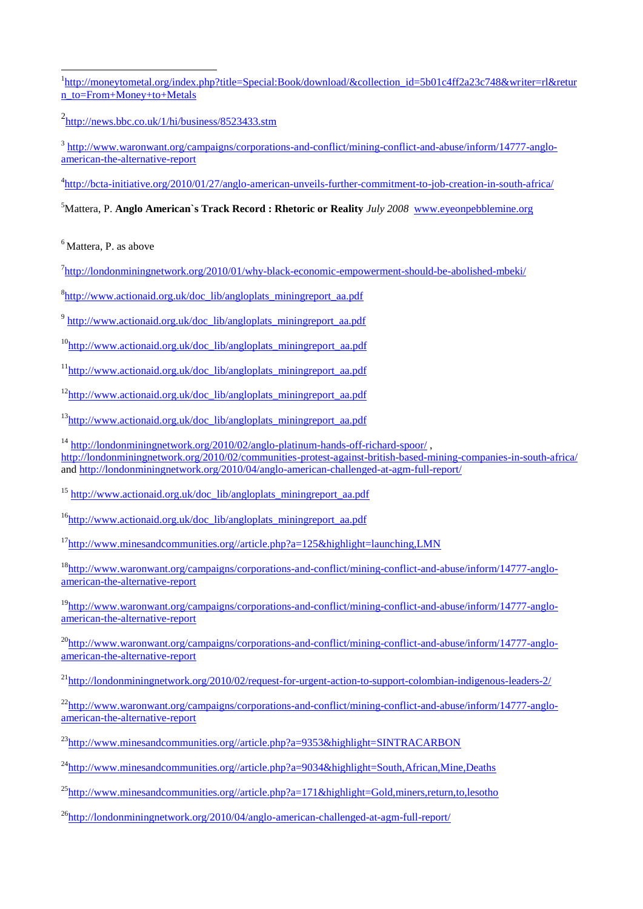<u>.</u> <sup>1</sup>[http://moneytometal.org/index.php?title=Special:Book/download/&collection\\_id=5b01c4ff2a23c748&writer=rl&retur](http://moneytometal.org/index.php?title=Special:Book/download/&collection_id=5b01c4ff2a23c748&writer=rl&return_to=From+Money+to+Metals) [n\\_to=From+Money+to+Metals](http://moneytometal.org/index.php?title=Special:Book/download/&collection_id=5b01c4ff2a23c748&writer=rl&return_to=From+Money+to+Metals)

<sup>2</sup><http://news.bbc.co.uk/1/hi/business/8523433.stm>

<sup>3</sup> [http://www.waronwant.org/campaigns/corporations-and-conflict/mining-conflict-and-abuse/inform/14777-anglo](http://www.waronwant.org/campaigns/corporations-and-conflict/mining-conflict-and-abuse/inform/14777-anglo-american-the-alternative-report)[american-the-alternative-report](http://www.waronwant.org/campaigns/corporations-and-conflict/mining-conflict-and-abuse/inform/14777-anglo-american-the-alternative-report)

4 <http://bcta-initiative.org/2010/01/27/anglo-american-unveils-further-commitment-to-job-creation-in-south-africa/>

<sup>5</sup>Mattera, P. **Anglo American`s Track Record : Rhetoric or Reality** *July 2008* [www.eyeonpebblemine.org](http://www.eyeonpebblemine.org/)

 $<sup>6</sup>$ Mattera, P. as above</sup>

<sup>7</sup><http://londonminingnetwork.org/2010/01/why-black-economic-empowerment-should-be-abolished-mbeki/>

<sup>8</sup>[http://www.actionaid.org.uk/doc\\_lib/angloplats\\_miningreport\\_aa.pdf](http://www.actionaid.org.uk/doc_lib/angloplats_miningreport_aa.pdf)

<sup>9</sup> [http://www.actionaid.org.uk/doc\\_lib/angloplats\\_miningreport\\_aa.pdf](http://www.actionaid.org.uk/doc_lib/angloplats_miningreport_aa.pdf)

 $10$ <sub>[http://www.actionaid.org.uk/doc\\_lib/angloplats\\_miningreport\\_aa.pdf](http://www.actionaid.org.uk/doc_lib/angloplats_miningreport_aa.pdf)</sub>

<sup>11</sup>[http://www.actionaid.org.uk/doc\\_lib/angloplats\\_miningreport\\_aa.pdf](http://www.actionaid.org.uk/doc_lib/angloplats_miningreport_aa.pdf)

 $12$ [http://www.actionaid.org.uk/doc\\_lib/angloplats\\_miningreport\\_aa.pdf](http://www.actionaid.org.uk/doc_lib/angloplats_miningreport_aa.pdf)

 $13$ [http://www.actionaid.org.uk/doc\\_lib/angloplats\\_miningreport\\_aa.pdf](http://www.actionaid.org.uk/doc_lib/angloplats_miningreport_aa.pdf)

<sup>14</sup> <http://londonminingnetwork.org/2010/02/anglo-platinum-hands-off-richard-spoor/>, <http://londonminingnetwork.org/2010/02/communities-protest-against-british-based-mining-companies-in-south-africa/> and<http://londonminingnetwork.org/2010/04/anglo-american-challenged-at-agm-full-report/>

<sup>15</sup> [http://www.actionaid.org.uk/doc\\_lib/angloplats\\_miningreport\\_aa.pdf](http://www.actionaid.org.uk/doc_lib/angloplats_miningreport_aa.pdf)

 $16$ [http://www.actionaid.org.uk/doc\\_lib/angloplats\\_miningreport\\_aa.pdf](http://www.actionaid.org.uk/doc_lib/angloplats_miningreport_aa.pdf)

 $17$ [http://www.minesandcommunities.org//article.php?a=125&highlight=launching,LMN](http://www.minesandcommunities.org/article.php?a=125&highlight=launching,LMN)

<sup>18</sup>[http://www.waronwant.org/campaigns/corporations-and-conflict/mining-conflict-and-abuse/inform/14777-anglo](http://www.waronwant.org/campaigns/corporations-and-conflict/mining-conflict-and-abuse/inform/14777-anglo-american-the-alternative-report)[american-the-alternative-report](http://www.waronwant.org/campaigns/corporations-and-conflict/mining-conflict-and-abuse/inform/14777-anglo-american-the-alternative-report)

<sup>19</sup>[http://www.waronwant.org/campaigns/corporations-and-conflict/mining-conflict-and-abuse/inform/14777-anglo](http://www.waronwant.org/campaigns/corporations-and-conflict/mining-conflict-and-abuse/inform/14777-anglo-american-the-alternative-report)[american-the-alternative-report](http://www.waronwant.org/campaigns/corporations-and-conflict/mining-conflict-and-abuse/inform/14777-anglo-american-the-alternative-report)

<sup>20</sup>[http://www.waronwant.org/campaigns/corporations-and-conflict/mining-conflict-and-abuse/inform/14777-anglo](http://www.waronwant.org/campaigns/corporations-and-conflict/mining-conflict-and-abuse/inform/14777-anglo-american-the-alternative-report)[american-the-alternative-report](http://www.waronwant.org/campaigns/corporations-and-conflict/mining-conflict-and-abuse/inform/14777-anglo-american-the-alternative-report)

 $^{21}$ <http://londonminingnetwork.org/2010/02/request-for-urgent-action-to-support-colombian-indigenous-leaders-2/>

 $^{22}$ [http://www.waronwant.org/campaigns/corporations-and-conflict/mining-conflict-and-abuse/inform/14777-anglo](http://www.waronwant.org/campaigns/corporations-and-conflict/mining-conflict-and-abuse/inform/14777-anglo-american-the-alternative-report)[american-the-alternative-report](http://www.waronwant.org/campaigns/corporations-and-conflict/mining-conflict-and-abuse/inform/14777-anglo-american-the-alternative-report)

 $^{23}$ [http://www.minesandcommunities.org//article.php?a=9353&highlight=SINTRACARBON](http://www.minesandcommunities.org/article.php?a=9353&highlight=SINTRACARBON)

 $^{24}$ [http://www.minesandcommunities.org//article.php?a=9034&highlight=South,African,Mine,Deaths](http://www.minesandcommunities.org/article.php?a=9034&highlight=South,African,Mine,Deaths)

 $^{25}$ [http://www.minesandcommunities.org//article.php?a=171&highlight=Gold,miners,return,to,lesotho](http://www.minesandcommunities.org/article.php?a=171&highlight=Gold,miners,return,to,lesotho)

<sup>26</sup><http://londonminingnetwork.org/2010/04/anglo-american-challenged-at-agm-full-report/>